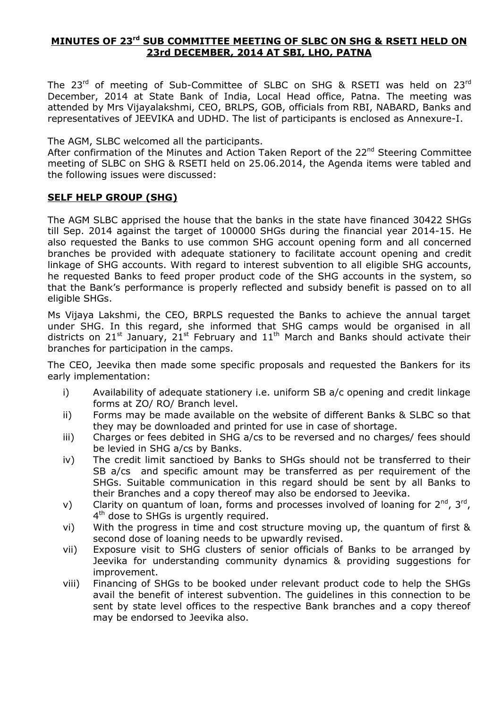### **MINUTES OF 23rd SUB COMMITTEE MEETING OF SLBC ON SHG & RSETI HELD ON 23rd DECEMBER, 2014 AT SBI, LHO, PATNA**

The 23<sup>rd</sup> of meeting of Sub-Committee of SLBC on SHG & RSETI was held on 23<sup>rd</sup> December, 2014 at State Bank of India, Local Head office, Patna. The meeting was attended by Mrs Vijayalakshmi, CEO, BRLPS, GOB, officials from RBI, NABARD, Banks and representatives of JEEVIKA and UDHD. The list of participants is enclosed as Annexure-I.

The AGM, SLBC welcomed all the participants.

After confirmation of the Minutes and Action Taken Report of the 22<sup>nd</sup> Steering Committee meeting of SLBC on SHG & RSETI held on 25.06.2014, the Agenda items were tabled and the following issues were discussed:

#### **SELF HELP GROUP (SHG)**

The AGM SLBC apprised the house that the banks in the state have financed 30422 SHGs till Sep. 2014 against the target of 100000 SHGs during the financial year 2014-15. He also requested the Banks to use common SHG account opening form and all concerned branches be provided with adequate stationery to facilitate account opening and credit linkage of SHG accounts. With regard to interest subvention to all eligible SHG accounts, he requested Banks to feed proper product code of the SHG accounts in the system, so that the Bank's performance is properly reflected and subsidy benefit is passed on to all eligible SHGs.

Ms Vijaya Lakshmi, the CEO, BRPLS requested the Banks to achieve the annual target under SHG. In this regard, she informed that SHG camps would be organised in all districts on 21<sup>st</sup> January, 21<sup>st</sup> February and 11<sup>th</sup> March and Banks should activate their branches for participation in the camps.

The CEO, Jeevika then made some specific proposals and requested the Bankers for its early implementation:

- i) Availability of adequate stationery i.e. uniform SB a/c opening and credit linkage forms at ZO/ RO/ Branch level.
- ii) Forms may be made available on the website of different Banks & SLBC so that they may be downloaded and printed for use in case of shortage.
- iii) Charges or fees debited in SHG a/cs to be reversed and no charges/ fees should be levied in SHG a/cs by Banks.
- iv) The credit limit sanctioed by Banks to SHGs should not be transferred to their SB a/cs and specific amount may be transferred as per requirement of the SHGs. Suitable communication in this regard should be sent by all Banks to their Branches and a copy thereof may also be endorsed to Jeevika.
- v) Clarity on quantum of loan, forms and processes involved of loaning for  $2^{nd}$ ,  $3^{rd}$ , 4<sup>th</sup> dose to SHGs is urgently required.
- vi) With the progress in time and cost structure moving up, the quantum of first & second dose of loaning needs to be upwardly revised.
- vii) Exposure visit to SHG clusters of senior officials of Banks to be arranged by Jeevika for understanding community dynamics & providing suggestions for improvement.
- viii) Financing of SHGs to be booked under relevant product code to help the SHGs avail the benefit of interest subvention. The guidelines in this connection to be sent by state level offices to the respective Bank branches and a copy thereof may be endorsed to Jeevika also.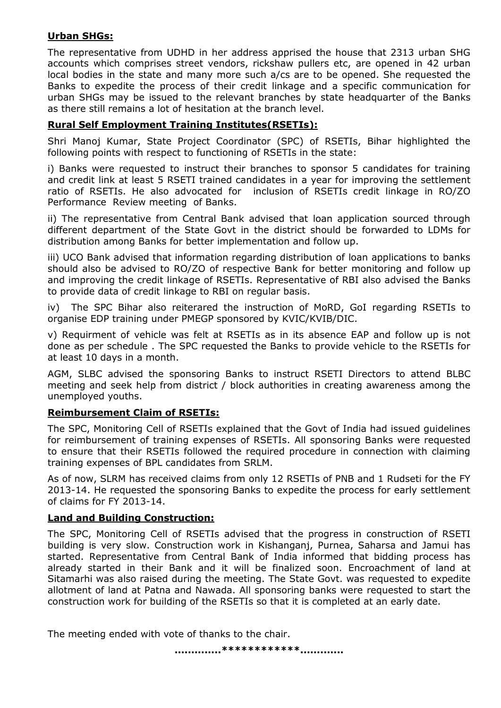## **Urban SHGs:**

The representative from UDHD in her address apprised the house that 2313 urban SHG accounts which comprises street vendors, rickshaw pullers etc, are opened in 42 urban local bodies in the state and many more such a/cs are to be opened. She requested the Banks to expedite the process of their credit linkage and a specific communication for urban SHGs may be issued to the relevant branches by state headquarter of the Banks as there still remains a lot of hesitation at the branch level.

# **Rural Self Employment Training Institutes(RSETIs):**

Shri Manoj Kumar, State Project Coordinator (SPC) of RSETIs, Bihar highlighted the following points with respect to functioning of RSETIs in the state:

i) Banks were requested to instruct their branches to sponsor 5 candidates for training and credit link at least 5 RSETI trained candidates in a year for improving the settlement ratio of RSETIs. He also advocated for inclusion of RSETIs credit linkage in RO/ZO Performance Review meeting of Banks.

ii) The representative from Central Bank advised that loan application sourced through different department of the State Govt in the district should be forwarded to LDMs for distribution among Banks for better implementation and follow up.

iii) UCO Bank advised that information regarding distribution of loan applications to banks should also be advised to RO/ZO of respective Bank for better monitoring and follow up and improving the credit linkage of RSETIs. Representative of RBI also advised the Banks to provide data of credit linkage to RBI on regular basis.

iv) The SPC Bihar also reiterared the instruction of MoRD, GoI regarding RSETIs to organise EDP training under PMEGP sponsored by KVIC/KVIB/DIC.

v) Requirment of vehicle was felt at RSETIs as in its absence EAP and follow up is not done as per schedule . The SPC requested the Banks to provide vehicle to the RSETIs for at least 10 days in a month.

AGM, SLBC advised the sponsoring Banks to instruct RSETI Directors to attend BLBC meeting and seek help from district / block authorities in creating awareness among the unemployed youths.

# **Reimbursement Claim of RSETIs:**

The SPC, Monitoring Cell of RSETIs explained that the Govt of India had issued guidelines for reimbursement of training expenses of RSETIs. All sponsoring Banks were requested to ensure that their RSETIs followed the required procedure in connection with claiming training expenses of BPL candidates from SRLM.

As of now, SLRM has received claims from only 12 RSETIs of PNB and 1 Rudseti for the FY 2013-14. He requested the sponsoring Banks to expedite the process for early settlement of claims for FY 2013-14.

# **Land and Building Construction:**

The SPC, Monitoring Cell of RSETIs advised that the progress in construction of RSETI building is very slow. Construction work in Kishanganj, Purnea, Saharsa and Jamui has started. Representative from Central Bank of India informed that bidding process has already started in their Bank and it will be finalized soon. Encroachment of land at Sitamarhi was also raised during the meeting. The State Govt. was requested to expedite allotment of land at Patna and Nawada. All sponsoring banks were requested to start the construction work for building of the RSETIs so that it is completed at an early date.

The meeting ended with vote of thanks to the chair.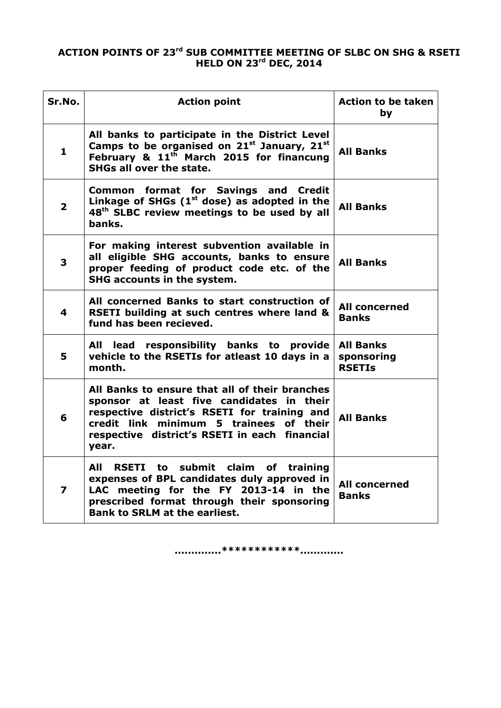### **ACTION POINTS OF 23rd SUB COMMITTEE MEETING OF SLBC ON SHG & RSETI HELD ON 23rd DEC, 2014**

| Sr.No.                  | <b>Action point</b>                                                                                                                                                                                                                                 | <b>Action to be taken</b><br>by                 |
|-------------------------|-----------------------------------------------------------------------------------------------------------------------------------------------------------------------------------------------------------------------------------------------------|-------------------------------------------------|
| 1                       | All banks to participate in the District Level<br>Camps to be organised on $21^{st}$ January, $21^{st}$<br><b>All Banks</b><br>February & 11 <sup>th</sup> March 2015 for financung<br><b>SHGs all over the state.</b>                              |                                                 |
| $\overline{2}$          | Common format for Savings and Credit<br>Linkage of SHGs $(1st$ dose) as adopted in the<br><b>All Banks</b><br>48 <sup>th</sup> SLBC review meetings to be used by all<br>banks.                                                                     |                                                 |
| 3                       | For making interest subvention available in<br>all eligible SHG accounts, banks to ensure<br>proper feeding of product code etc. of the<br>SHG accounts in the system.                                                                              | <b>All Banks</b>                                |
| 4                       | All concerned Banks to start construction of<br><b>All concerned</b><br>RSETI building at such centres where land &<br>Banks<br>fund has been recieved.                                                                                             |                                                 |
| 5                       | All lead responsibility banks to provide<br>vehicle to the RSETIs for atleast 10 days in a<br>month.                                                                                                                                                | <b>All Banks</b><br>sponsoring<br><b>RSETIS</b> |
| 6                       | All Banks to ensure that all of their branches<br>sponsor at least five candidates in their<br>respective district's RSETI for training and<br>credit link minimum 5 trainees<br>of their<br>respective district's RSETI in each financial<br>year. | <b>All Banks</b>                                |
| $\overline{\mathbf{z}}$ | AII<br>RSETI to submit claim of training<br>expenses of BPL candidates duly approved in<br>LAC meeting for the FY 2013-14 in the<br>prescribed format through their sponsoring<br><b>Bank to SRLM at the earliest.</b>                              | All concerned<br><b>Banks</b>                   |

**..............\*\*\*\*\*\*\*\*\*\*\*\*.............**